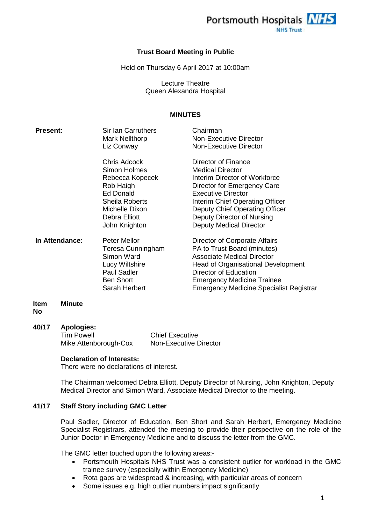

#### **Trust Board Meeting in Public**

Held on Thursday 6 April 2017 at 10:00am

Lecture Theatre Queen Alexandra Hospital

#### **MINUTES**

| <b>Present:</b> | Sir Ian Carruthers<br>Mark Nellthorp<br>Liz Conway                                                                                                     | Chairman<br>Non-Executive Director<br>Non-Executive Director                                                                                                                                                                                                                     |
|-----------------|--------------------------------------------------------------------------------------------------------------------------------------------------------|----------------------------------------------------------------------------------------------------------------------------------------------------------------------------------------------------------------------------------------------------------------------------------|
|                 | Chris Adcock<br><b>Simon Holmes</b><br>Rebecca Kopecek<br>Rob Haigh<br>Ed Donald<br>Sheila Roberts<br>Michelle Dixon<br>Debra Elliott<br>John Knighton | Director of Finance<br><b>Medical Director</b><br>Interim Director of Workforce<br>Director for Emergency Care<br><b>Executive Director</b><br>Interim Chief Operating Officer<br>Deputy Chief Operating Officer<br>Deputy Director of Nursing<br><b>Deputy Medical Director</b> |
| In Attendance:  | Peter Mellor<br>Teresa Cunningham<br>Simon Ward<br><b>Lucy Wiltshire</b><br><b>Paul Sadler</b><br><b>Ben Short</b><br>Sarah Herbert                    | Director of Corporate Affairs<br>PA to Trust Board (minutes)<br><b>Associate Medical Director</b><br>Head of Organisational Development<br>Director of Education<br><b>Emergency Medicine Trainee</b><br><b>Emergency Medicine Specialist Registrar</b>                          |
| Item<br>Minute  |                                                                                                                                                        |                                                                                                                                                                                                                                                                                  |

**No**

#### **40/17 Apologies:**

| Tim Powell            | <b>Chief Executive</b>        |
|-----------------------|-------------------------------|
| Mike Attenborough-Cox | <b>Non-Executive Director</b> |

#### **Declaration of Interests:**

There were no declarations of interest.

The Chairman welcomed Debra Elliott, Deputy Director of Nursing, John Knighton, Deputy Medical Director and Simon Ward, Associate Medical Director to the meeting.

# **41/17 Staff Story including GMC Letter**

Paul Sadler, Director of Education, Ben Short and Sarah Herbert, Emergency Medicine Specialist Registrars, attended the meeting to provide their perspective on the role of the Junior Doctor in Emergency Medicine and to discuss the letter from the GMC.

The GMC letter touched upon the following areas:-

- Portsmouth Hospitals NHS Trust was a consistent outlier for workload in the GMC trainee survey (especially within Emergency Medicine)
- Rota gaps are widespread & increasing, with particular areas of concern
- Some issues e.g. high outlier numbers impact significantly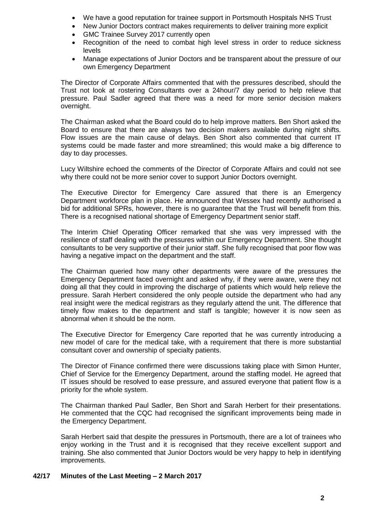- We have a good reputation for trainee support in Portsmouth Hospitals NHS Trust
- New Junior Doctors contract makes requirements to deliver training more explicit
- GMC Trainee Survey 2017 currently open
- Recognition of the need to combat high level stress in order to reduce sickness levels
- Manage expectations of Junior Doctors and be transparent about the pressure of our own Emergency Department

The Director of Corporate Affairs commented that with the pressures described, should the Trust not look at rostering Consultants over a 24hour/7 day period to help relieve that pressure. Paul Sadler agreed that there was a need for more senior decision makers overnight.

The Chairman asked what the Board could do to help improve matters. Ben Short asked the Board to ensure that there are always two decision makers available during night shifts. Flow issues are the main cause of delays. Ben Short also commented that current IT systems could be made faster and more streamlined; this would make a big difference to day to day processes.

Lucy Wiltshire echoed the comments of the Director of Corporate Affairs and could not see why there could not be more senior cover to support Junior Doctors overnight.

The Executive Director for Emergency Care assured that there is an Emergency Department workforce plan in place. He announced that Wessex had recently authorised a bid for additional SPRs, however, there is no guarantee that the Trust will benefit from this. There is a recognised national shortage of Emergency Department senior staff.

The Interim Chief Operating Officer remarked that she was very impressed with the resilience of staff dealing with the pressures within our Emergency Department. She thought consultants to be very supportive of their junior staff. She fully recognised that poor flow was having a negative impact on the department and the staff.

The Chairman queried how many other departments were aware of the pressures the Emergency Department faced overnight and asked why, if they were aware, were they not doing all that they could in improving the discharge of patients which would help relieve the pressure. Sarah Herbert considered the only people outside the department who had any real insight were the medical registrars as they regularly attend the unit. The difference that timely flow makes to the department and staff is tangible; however it is now seen as abnormal when it should be the norm.

The Executive Director for Emergency Care reported that he was currently introducing a new model of care for the medical take, with a requirement that there is more substantial consultant cover and ownership of specialty patients.

The Director of Finance confirmed there were discussions taking place with Simon Hunter, Chief of Service for the Emergency Department, around the staffing model. He agreed that IT issues should be resolved to ease pressure, and assured everyone that patient flow is a priority for the whole system.

The Chairman thanked Paul Sadler, Ben Short and Sarah Herbert for their presentations. He commented that the CQC had recognised the significant improvements being made in the Emergency Department.

Sarah Herbert said that despite the pressures in Portsmouth, there are a lot of trainees who enjoy working in the Trust and it is recognised that they receive excellent support and training. She also commented that Junior Doctors would be very happy to help in identifying improvements.

### **42/17 Minutes of the Last Meeting – 2 March 2017**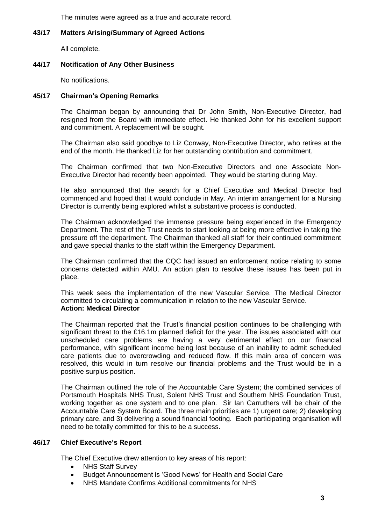The minutes were agreed as a true and accurate record.

# **43/17 Matters Arising/Summary of Agreed Actions**

All complete.

# **44/17 Notification of Any Other Business**

No notifications.

# **45/17 Chairman's Opening Remarks**

The Chairman began by announcing that Dr John Smith, Non-Executive Director, had resigned from the Board with immediate effect. He thanked John for his excellent support and commitment. A replacement will be sought.

The Chairman also said goodbye to Liz Conway, Non-Executive Director, who retires at the end of the month. He thanked Liz for her outstanding contribution and commitment.

The Chairman confirmed that two Non-Executive Directors and one Associate Non-Executive Director had recently been appointed. They would be starting during May.

He also announced that the search for a Chief Executive and Medical Director had commenced and hoped that it would conclude in May. An interim arrangement for a Nursing Director is currently being explored whilst a substantive process is conducted.

The Chairman acknowledged the immense pressure being experienced in the Emergency Department. The rest of the Trust needs to start looking at being more effective in taking the pressure off the department. The Chairman thanked all staff for their continued commitment and gave special thanks to the staff within the Emergency Department.

The Chairman confirmed that the CQC had issued an enforcement notice relating to some concerns detected within AMU. An action plan to resolve these issues has been put in place.

This week sees the implementation of the new Vascular Service. The Medical Director committed to circulating a communication in relation to the new Vascular Service. **Action: Medical Director**

The Chairman reported that the Trust's financial position continues to be challenging with significant threat to the £16.1m planned deficit for the year. The issues associated with our unscheduled care problems are having a very detrimental effect on our financial performance, with significant income being lost because of an inability to admit scheduled care patients due to overcrowding and reduced flow. If this main area of concern was resolved, this would in turn resolve our financial problems and the Trust would be in a positive surplus position.

The Chairman outlined the role of the Accountable Care System; the combined services of Portsmouth Hospitals NHS Trust, Solent NHS Trust and Southern NHS Foundation Trust, working together as one system and to one plan. Sir Ian Carruthers will be chair of the Accountable Care System Board. The three main priorities are 1) urgent care; 2) developing primary care, and 3) delivering a sound financial footing. Each participating organisation will need to be totally committed for this to be a success.

### **46/17 Chief Executive's Report**

The Chief Executive drew attention to key areas of his report:

- NHS Staff Survey
- Budget Announcement is 'Good News' for Health and Social Care
- NHS Mandate Confirms Additional commitments for NHS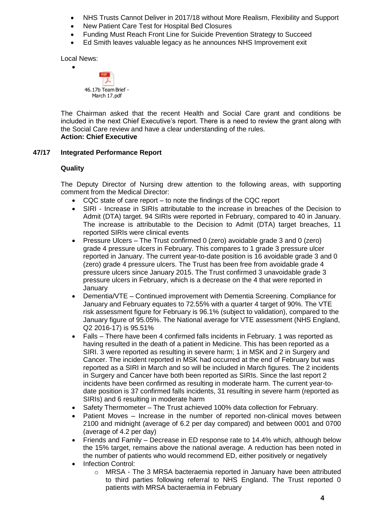- NHS Trusts Cannot Deliver in 2017/18 without More Realism, Flexibility and Support
- New Patient Care Test for Hospital Bed Closures
- Funding Must Reach Front Line for Suicide Prevention Strategy to Succeed
- Ed Smith leaves valuable legacy as he announces NHS Improvement exit

Local News:

 $\bullet$ 



The Chairman asked that the recent Health and Social Care grant and conditions be included in the next Chief Executive's report. There is a need to review the grant along with the Social Care review and have a clear understanding of the rules. **Action: Chief Executive**

### **47/17 Integrated Performance Report**

### **Quality**

The Deputy Director of Nursing drew attention to the following areas, with supporting comment from the Medical Director:

- CQC state of care report to note the findings of the CQC report
- SIRI Increase in SIRIs attributable to the increase in breaches of the Decision to Admit (DTA) target. 94 SIRIs were reported in February, compared to 40 in January. The increase is attributable to the Decision to Admit (DTA) target breaches, 11 reported SIRIs were clinical events
- Pressure Ulcers The Trust confirmed 0 (zero) avoidable grade 3 and 0 (zero) grade 4 pressure ulcers in February. This compares to 1 grade 3 pressure ulcer reported in January. The current year-to-date position is 16 avoidable grade 3 and 0 (zero) grade 4 pressure ulcers. The Trust has been free from avoidable grade 4 pressure ulcers since January 2015. The Trust confirmed 3 unavoidable grade 3 pressure ulcers in February, which is a decrease on the 4 that were reported in January
- Dementia/VTE Continued improvement with Dementia Screening. Compliance for January and February equates to 72.55% with a quarter 4 target of 90%. The VTE risk assessment figure for February is 96.1% (subject to validation), compared to the January figure of 95.05%. The National average for VTE assessment (NHS England, Q2 2016-17) is 95.51%
- Falls There have been 4 confirmed falls incidents in February. 1 was reported as having resulted in the death of a patient in Medicine. This has been reported as a SIRI. 3 were reported as resulting in severe harm; 1 in MSK and 2 in Surgery and Cancer. The incident reported in MSK had occurred at the end of February but was reported as a SIRI in March and so will be included in March figures. The 2 incidents in Surgery and Cancer have both been reported as SIRIs. Since the last report 2 incidents have been confirmed as resulting in moderate harm. The current year-todate position is 37 confirmed falls incidents, 31 resulting in severe harm (reported as SIRIs) and 6 resulting in moderate harm
- Safety Thermometer The Trust achieved 100% data collection for February.
- Patient Moves Increase in the number of reported non-clinical moves between 2100 and midnight (average of 6.2 per day compared) and between 0001 and 0700 (average of 4.2 per day)
- Friends and Family Decrease in ED response rate to 14.4% which, although below the 15% target, remains above the national average. A reduction has been noted in the number of patients who would recommend ED, either positively or negatively
- Infection Control:
	- $\circ$  MRSA The 3 MRSA bacteraemia reported in January have been attributed to third parties following referral to NHS England. The Trust reported 0 patients with MRSA bacteraemia in February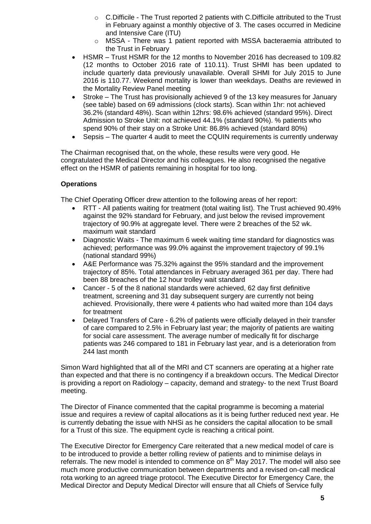- o C.Difficile The Trust reported 2 patients with C.Difficile attributed to the Trust in February against a monthly objective of 3. The cases occurred in Medicine and Intensive Care (ITU)
- o MSSA There was 1 patient reported with MSSA bacteraemia attributed to the Trust in February
- HSMR Trust HSMR for the 12 months to November 2016 has decreased to 109.82 (12 months to October 2016 rate of 110.11). Trust SHMI has been updated to include quarterly data previously unavailable. Overall SHMI for July 2015 to June 2016 is 110.77. Weekend mortality is lower than weekdays. Deaths are reviewed in the Mortality Review Panel meeting
- Stroke The Trust has provisionally achieved 9 of the 13 key measures for January (see table) based on 69 admissions (clock starts). Scan within 1hr: not achieved 36.2% (standard 48%). Scan within 12hrs: 98.6% achieved (standard 95%). Direct Admission to Stroke Unit: not achieved 44.1% (standard 90%). % patients who spend 90% of their stay on a Stroke Unit: 86.8% achieved (standard 80%)
- Sepsis The quarter 4 audit to meet the CQUIN requirements is currently underway

The Chairman recognised that, on the whole, these results were very good. He congratulated the Medical Director and his colleagues. He also recognised the negative effect on the HSMR of patients remaining in hospital for too long.

# **Operations**

The Chief Operating Officer drew attention to the following areas of her report:

- RTT All patients waiting for treatment (total waiting list). The Trust achieved 90.49% against the 92% standard for February, and just below the revised improvement trajectory of 90.9% at aggregate level. There were 2 breaches of the 52 wk. maximum wait standard
- Diagnostic Waits The maximum 6 week waiting time standard for diagnostics was achieved; performance was 99.0% against the improvement trajectory of 99.1% (national standard 99%)
- A&E Performance was 75.32% against the 95% standard and the improvement trajectory of 85%. Total attendances in February averaged 361 per day. There had been 88 breaches of the 12 hour trolley wait standard
- Cancer 5 of the 8 national standards were achieved, 62 day first definitive treatment, screening and 31 day subsequent surgery are currently not being achieved. Provisionally, there were 4 patients who had waited more than 104 days for treatment
- Delayed Transfers of Care 6.2% of patients were officially delayed in their transfer of care compared to 2.5% in February last year; the majority of patients are waiting for social care assessment. The average number of medically fit for discharge patients was 246 compared to 181 in February last year, and is a deterioration from 244 last month

Simon Ward highlighted that all of the MRI and CT scanners are operating at a higher rate than expected and that there is no contingency if a breakdown occurs. The Medical Director is providing a report on Radiology – capacity, demand and strategy- to the next Trust Board meeting.

The Director of Finance commented that the capital programme is becoming a material issue and requires a review of capital allocations as it is being further reduced next year. He is currently debating the issue with NHSi as he considers the capital allocation to be small for a Trust of this size. The equipment cycle is reaching a critical point.

The Executive Director for Emergency Care reiterated that a new medical model of care is to be introduced to provide a better rolling review of patients and to minimise delays in referrals. The new model is intended to commence on  $8<sup>th</sup>$  May 2017. The model will also see much more productive communication between departments and a revised on-call medical rota working to an agreed triage protocol. The Executive Director for Emergency Care, the Medical Director and Deputy Medical Director will ensure that all Chiefs of Service fully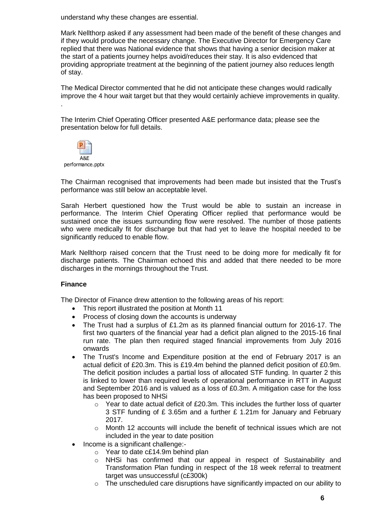understand why these changes are essential.

Mark Nellthorp asked if any assessment had been made of the benefit of these changes and if they would produce the necessary change. The Executive Director for Emergency Care replied that there was National evidence that shows that having a senior decision maker at the start of a patients journey helps avoid/reduces their stay. It is also evidenced that providing appropriate treatment at the beginning of the patient journey also reduces length of stay.

The Medical Director commented that he did not anticipate these changes would radically improve the 4 hour wait target but that they would certainly achieve improvements in quality. .

The Interim Chief Operating Officer presented A&E performance data; please see the presentation below for full details.



The Chairman recognised that improvements had been made but insisted that the Trust's performance was still below an acceptable level.

Sarah Herbert questioned how the Trust would be able to sustain an increase in performance. The Interim Chief Operating Officer replied that performance would be sustained once the issues surrounding flow were resolved. The number of those patients who were medically fit for discharge but that had yet to leave the hospital needed to be significantly reduced to enable flow.

Mark Nellthorp raised concern that the Trust need to be doing more for medically fit for discharge patients. The Chairman echoed this and added that there needed to be more discharges in the mornings throughout the Trust.

### **Finance**

The Director of Finance drew attention to the following areas of his report:

- This report illustrated the position at Month 11
- Process of closing down the accounts is underway
- The Trust had a surplus of £1.2m as its planned financial outturn for 2016-17. The first two quarters of the financial year had a deficit plan aligned to the 2015-16 final run rate. The plan then required staged financial improvements from July 2016 onwards
- The Trust's Income and Expenditure position at the end of February 2017 is an actual deficit of £20.3m. This is £19.4m behind the planned deficit position of £0.9m. The deficit position includes a partial loss of allocated STF funding. In quarter 2 this is linked to lower than required levels of operational performance in RTT in August and September 2016 and is valued as a loss of £0.3m. A mitigation case for the loss has been proposed to NHSi
	- $\circ$  Year to date actual deficit of £20.3m. This includes the further loss of quarter 3 STF funding of £ 3.65m and a further £ 1.21m for January and February 2017.
	- $\circ$  Month 12 accounts will include the benefit of technical issues which are not included in the year to date position
- Income is a significant challenge:
	- o Year to date c£14.9m behind plan
	- $\circ$  NHSi has confirmed that our appeal in respect of Sustainability and Transformation Plan funding in respect of the 18 week referral to treatment target was unsuccessful (c£300k)
	- $\circ$  The unscheduled care disruptions have significantly impacted on our ability to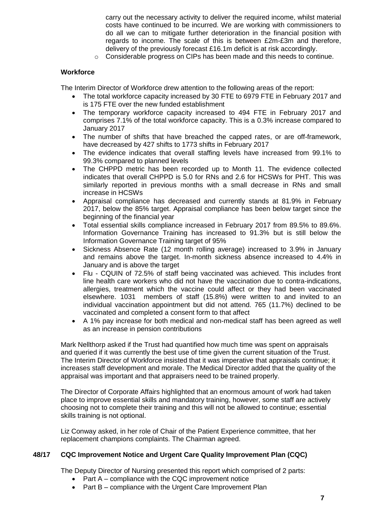carry out the necessary activity to deliver the required income, whilst material costs have continued to be incurred. We are working with commissioners to do all we can to mitigate further deterioration in the financial position with regards to income. The scale of this is between £2m-£3m and therefore, delivery of the previously forecast £16.1m deficit is at risk accordingly.

o Considerable progress on CIPs has been made and this needs to continue.

#### **Workforce**

The Interim Director of Workforce drew attention to the following areas of the report:

- The total workforce capacity increased by 30 FTE to 6979 FTE in February 2017 and is 175 FTE over the new funded establishment
- The temporary workforce capacity increased to 494 FTE in February 2017 and comprises 7.1% of the total workforce capacity. This is a 0.3% increase compared to January 2017
- The number of shifts that have breached the capped rates, or are off-framework, have decreased by 427 shifts to 1773 shifts in February 2017
- The evidence indicates that overall staffing levels have increased from 99.1% to 99.3% compared to planned levels
- The CHPPD metric has been recorded up to Month 11. The evidence collected indicates that overall CHPPD is 5.0 for RNs and 2.6 for HCSWs for PHT. This was similarly reported in previous months with a small decrease in RNs and small increase in HCSWs
- Appraisal compliance has decreased and currently stands at 81.9% in February 2017, below the 85% target. Appraisal compliance has been below target since the beginning of the financial year
- Total essential skills compliance increased in February 2017 from 89.5% to 89.6%. Information Governance Training has increased to 91.3% but is still below the Information Governance Training target of 95%
- Sickness Absence Rate (12 month rolling average) increased to 3.9% in January and remains above the target. In-month sickness absence increased to 4.4% in January and is above the target
- Flu CQUIN of 72.5% of staff being vaccinated was achieved. This includes front line health care workers who did not have the vaccination due to contra-indications, allergies, treatment which the vaccine could affect or they had been vaccinated elsewhere. 1031 members of staff (15.8%) were written to and invited to an individual vaccination appointment but did not attend. 765 (11.7%) declined to be vaccinated and completed a consent form to that affect
- A 1% pay increase for both medical and non-medical staff has been agreed as well as an increase in pension contributions

Mark Nellthorp asked if the Trust had quantified how much time was spent on appraisals and queried if it was currently the best use of time given the current situation of the Trust. The Interim Director of Workforce insisted that it was imperative that appraisals continue; it increases staff development and morale. The Medical Director added that the quality of the appraisal was important and that appraisers need to be trained properly.

The Director of Corporate Affairs highlighted that an enormous amount of work had taken place to improve essential skills and mandatory training, however, some staff are actively choosing not to complete their training and this will not be allowed to continue; essential skills training is not optional.

Liz Conway asked, in her role of Chair of the Patient Experience committee, that her replacement champions complaints. The Chairman agreed.

### **48/17 CQC Improvement Notice and Urgent Care Quality Improvement Plan (CQC)**

The Deputy Director of Nursing presented this report which comprised of 2 parts:

- Part A compliance with the CQC improvement notice
- Part B compliance with the Urgent Care Improvement Plan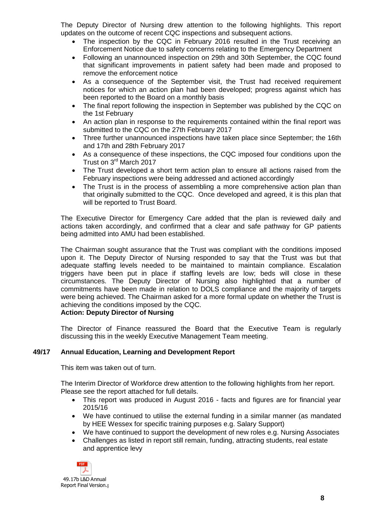The Deputy Director of Nursing drew attention to the following highlights. This report updates on the outcome of recent CQC inspections and subsequent actions.

- The inspection by the CQC in February 2016 resulted in the Trust receiving an Enforcement Notice due to safety concerns relating to the Emergency Department
- Following an unannounced inspection on 29th and 30th September, the CQC found that significant improvements in patient safety had been made and proposed to remove the enforcement notice
- As a consequence of the September visit, the Trust had received requirement notices for which an action plan had been developed; progress against which has been reported to the Board on a monthly basis
- The final report following the inspection in September was published by the CQC on the 1st February
- An action plan in response to the requirements contained within the final report was submitted to the CQC on the 27th February 2017
- Three further unannounced inspections have taken place since September; the 16th and 17th and 28th February 2017
- As a consequence of these inspections, the CQC imposed four conditions upon the Trust on 3rd March 2017
- The Trust developed a short term action plan to ensure all actions raised from the February inspections were being addressed and actioned accordingly
- The Trust is in the process of assembling a more comprehensive action plan than that originally submitted to the CQC. Once developed and agreed, it is this plan that will be reported to Trust Board.

The Executive Director for Emergency Care added that the plan is reviewed daily and actions taken accordingly, and confirmed that a clear and safe pathway for GP patients being admitted into AMU had been established.

The Chairman sought assurance that the Trust was compliant with the conditions imposed upon it. The Deputy Director of Nursing responded to say that the Trust was but that adequate staffing levels needed to be maintained to maintain compliance. Escalation triggers have been put in place if staffing levels are low; beds will close in these circumstances. The Deputy Director of Nursing also highlighted that a number of commitments have been made in relation to DOLS compliance and the majority of targets were being achieved. The Chairman asked for a more formal update on whether the Trust is achieving the conditions imposed by the CQC.

# **Action: Deputy Director of Nursing**

The Director of Finance reassured the Board that the Executive Team is regularly discussing this in the weekly Executive Management Team meeting.

### **49/17 Annual Education, Learning and Development Report**

This item was taken out of turn.

The Interim Director of Workforce drew attention to the following highlights from her report. Please see the report attached for full details.

- This report was produced in August 2016 facts and figures are for financial year 2015/16
- We have continued to utilise the external funding in a similar manner (as mandated by HEE Wessex for specific training purposes e.g. Salary Support)
- We have continued to support the development of new roles e.g. Nursing Associates
- Challenges as listed in report still remain, funding, attracting students, real estate and apprentice levy

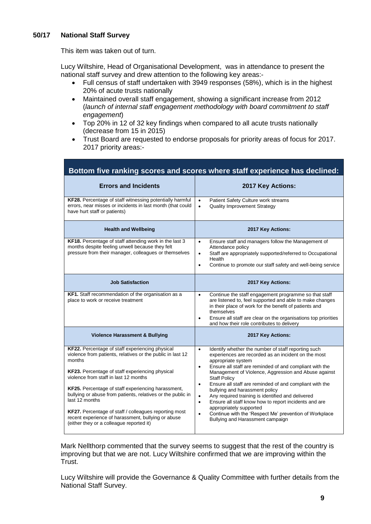# **50/17 National Staff Survey**

This item was taken out of turn.

Lucy Wiltshire, Head of Organisational Development, was in attendance to present the national staff survey and drew attention to the following key areas:-

- Full census of staff undertaken with 3949 responses (58%), which is in the highest 20% of acute trusts nationally
- Maintained overall staff engagement, showing a significant increase from 2012 (*launch of internal staff engagement methodology with board commitment to staff engagement*)
- Top 20% in 12 of 32 key findings when compared to all acute trusts nationally (decrease from 15 in 2015)
- Trust Board are requested to endorse proposals for priority areas of focus for 2017. 2017 priority areas:-

| Bottom five ranking scores and scores where staff experience has declined:                                                                                                                                                                                                                                                                                                                                                                                                                                            |                                                                                                                                                                                                                                                                                                                                                                                                                                                                                                                                                                                                                                                                                              |  |  |
|-----------------------------------------------------------------------------------------------------------------------------------------------------------------------------------------------------------------------------------------------------------------------------------------------------------------------------------------------------------------------------------------------------------------------------------------------------------------------------------------------------------------------|----------------------------------------------------------------------------------------------------------------------------------------------------------------------------------------------------------------------------------------------------------------------------------------------------------------------------------------------------------------------------------------------------------------------------------------------------------------------------------------------------------------------------------------------------------------------------------------------------------------------------------------------------------------------------------------------|--|--|
| <b>Errors and Incidents</b>                                                                                                                                                                                                                                                                                                                                                                                                                                                                                           | 2017 Key Actions:                                                                                                                                                                                                                                                                                                                                                                                                                                                                                                                                                                                                                                                                            |  |  |
| KF28. Percentage of staff witnessing potentially harmful<br>errors, near misses or incidents in last month (that could<br>have hurt staff or patients)                                                                                                                                                                                                                                                                                                                                                                | Patient Safety Culture work streams<br>$\bullet$<br><b>Quality Improvement Strategy</b><br>$\bullet$                                                                                                                                                                                                                                                                                                                                                                                                                                                                                                                                                                                         |  |  |
| <b>Health and Wellbeing</b>                                                                                                                                                                                                                                                                                                                                                                                                                                                                                           | 2017 Key Actions:                                                                                                                                                                                                                                                                                                                                                                                                                                                                                                                                                                                                                                                                            |  |  |
| KF18. Percentage of staff attending work in the last 3<br>months despite feeling unwell because they felt<br>pressure from their manager, colleagues or themselves                                                                                                                                                                                                                                                                                                                                                    | Ensure staff and managers follow the Management of<br>$\bullet$<br>Attendance policy<br>Staff are appropriately supported/referred to Occupational<br>$\bullet$<br>Health<br>Continue to promote our staff safety and well-being service<br>$\bullet$                                                                                                                                                                                                                                                                                                                                                                                                                                        |  |  |
| <b>Job Satisfaction</b>                                                                                                                                                                                                                                                                                                                                                                                                                                                                                               | 2017 Key Actions:                                                                                                                                                                                                                                                                                                                                                                                                                                                                                                                                                                                                                                                                            |  |  |
| KF1. Staff recommendation of the organisation as a<br>place to work or receive treatment                                                                                                                                                                                                                                                                                                                                                                                                                              | Continue the staff engagement programme so that staff<br>$\bullet$<br>are listened to, feel supported and able to make changes<br>in their place of work for the benefit of patients and<br>themselves<br>Ensure all staff are clear on the organisations top priorities<br>$\bullet$<br>and how their role contributes to delivery                                                                                                                                                                                                                                                                                                                                                          |  |  |
| <b>Violence Harassment &amp; Bullying</b>                                                                                                                                                                                                                                                                                                                                                                                                                                                                             | 2017 Key Actions:                                                                                                                                                                                                                                                                                                                                                                                                                                                                                                                                                                                                                                                                            |  |  |
| KF22. Percentage of staff experiencing physical<br>violence from patients, relatives or the public in last 12<br>months<br>KF23. Percentage of staff experiencing physical<br>violence from staff in last 12 months<br>KF25. Percentage of staff experiencing harassment,<br>bullying or abuse from patients, relatives or the public in<br>last 12 months<br>KF27. Percentage of staff / colleagues reporting most<br>recent experience of harassment, bullying or abuse<br>(either they or a colleague reported it) | Identify whether the number of staff reporting such<br>$\bullet$<br>experiences are recorded as an incident on the most<br>appropriate system<br>Ensure all staff are reminded of and compliant with the<br>$\bullet$<br>Management of Violence, Aggression and Abuse against<br><b>Staff Policy</b><br>Ensure all staff are reminded of and compliant with the<br>$\bullet$<br>bullying and harassment policy<br>Any required training is identified and delivered<br>$\bullet$<br>Ensure all staff know how to report incidents and are<br>$\bullet$<br>appropriately supported<br>Continue with the 'Respect Me' prevention of Workplace<br>$\bullet$<br>Bullying and Harassment campaign |  |  |

Mark Nellthorp commented that the survey seems to suggest that the rest of the country is improving but that we are not. Lucy Wiltshire confirmed that we are improving within the Trust.

Lucy Wiltshire will provide the Governance & Quality Committee with further details from the National Staff Survey.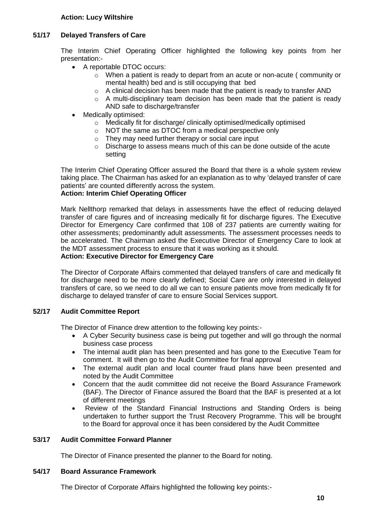# **Action: Lucy Wiltshire**

# **51/17 Delayed Transfers of Care**

The Interim Chief Operating Officer highlighted the following key points from her presentation:-

- A reportable DTOC occurs:
	- o When a patient is ready to depart from an acute or non-acute ( community or mental health) bed and is still occupying that bed
	- $\circ$  A clinical decision has been made that the patient is ready to transfer AND
	- o A multi-disciplinary team decision has been made that the patient is ready AND safe to discharge/transfer
- Medically optimised:
	- o Medically fit for discharge/ clinically optimised/medically optimised
	- o NOT the same as DTOC from a medical perspective only
		- o They may need further therapy or social care input
		- o Discharge to assess means much of this can be done outside of the acute setting

The Interim Chief Operating Officer assured the Board that there is a whole system review taking place. The Chairman has asked for an explanation as to why 'delayed transfer of care patients' are counted differently across the system.

# **Action: Interim Chief Operating Officer**

Mark Nellthorp remarked that delays in assessments have the effect of reducing delayed transfer of care figures and of increasing medically fit for discharge figures. The Executive Director for Emergency Care confirmed that 108 of 237 patients are currently waiting for other assessments; predominantly adult assessments. The assessment processes needs to be accelerated. The Chairman asked the Executive Director of Emergency Care to look at the MDT assessment process to ensure that it was working as it should.

### **Action: Executive Director for Emergency Care**

The Director of Corporate Affairs commented that delayed transfers of care and medically fit for discharge need to be more clearly defined; Social Care are only interested in delayed transfers of care, so we need to do all we can to ensure patients move from medically fit for discharge to delayed transfer of care to ensure Social Services support.

### **52/17 Audit Committee Report**

The Director of Finance drew attention to the following key points:-

- A Cyber Security business case is being put together and will go through the normal business case process
- The internal audit plan has been presented and has gone to the Executive Team for comment. It will then go to the Audit Committee for final approval
- The external audit plan and local counter fraud plans have been presented and noted by the Audit Committee
- Concern that the audit committee did not receive the Board Assurance Framework (BAF). The Director of Finance assured the Board that the BAF is presented at a lot of different meetings
- Review of the Standard Financial Instructions and Standing Orders is being undertaken to further support the Trust Recovery Programme. This will be brought to the Board for approval once it has been considered by the Audit Committee

## **53/17 Audit Committee Forward Planner**

The Director of Finance presented the planner to the Board for noting.

### **54/17 Board Assurance Framework**

The Director of Corporate Affairs highlighted the following key points:-